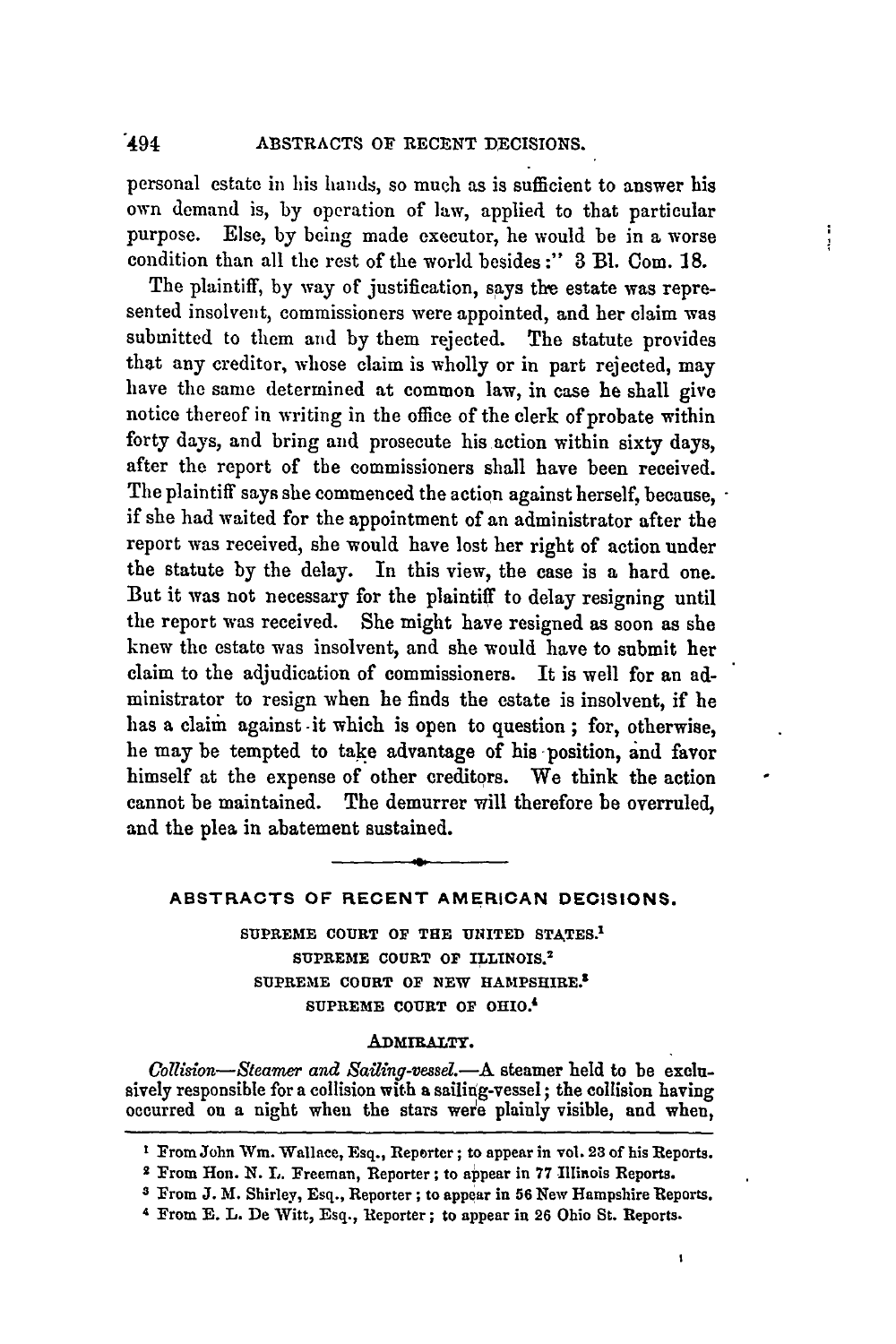personal estate in his hands, so much as is sufficient to answer his own demand is, by operation of law, applied to that particular purpose. Else, by being made executor, he would be in a worse condition than all the rest of the world besides :" **3** B1. Com. **18.**

÷ Ť

The plaintiff, by way of justification, says the estate was represented insolvent, commissioners were appointed, and her claim was submitted to them and by them rejected. The statute provides that any creditor, whose claim is wholly or in part rejected, may have the same determined at common law, in case he shall give notice thereof in writing in the office of the clerk of probate within forty days, and bring and prosecute his action within sixty days, after the report of the commissioners shall have been received. The plaintiff says she commenced the action against herself, because, if she had waited for the appointment of an administrator after the report was received, she would have lost her right of action under the statute by the delay. In this view, the case is a hard one. But it was not necessary for the plaintiff to delay resigning until the report was received. She might have resigned as soon as she knew the estate was insolvent, and she would have to submit her claim to the adjudication of commissioners. It is well for an administrator to resign when he finds the estate is insolvent, if he has a claim against it which is open to question; for, otherwise, he may be tempted to take advantage of his position, and favor himself at the expense of other creditors. We think the action cannot be maintained. The demurrer will therefore be overruled, and the plea in abatement sustained.

# **ABSTRACTS OF RECENT AMERICAN DECISIONS.**

**SUPREME COURT OF THE UNITED STATES. <sup>1</sup> SUPREME COURT OF ILLINOIS. <sup>2</sup> SUPREME COURT OF NEW IHAMPSHIRE. SUPREME COURT OF OHIO.'**

# **ADMIRALTY.**

*Collsion-Steamer and* Sailing-vessel.-A steamer held to be exclusively responsible for a collision with a sailing-vessel; the collision having occurred on a night when the stars were plainly visible, and when,

- **I** From John Win. Wallace, Esq., Reporter; to appear in vol. **23** of his Reports.
- **2** From Hon. N. L. Freeman, Reporter; to appear in **77** Illinois Reports.
- **3** From **J.** M. Shirley, Esq., Reporter; to appear in **56** New Hampshire Reports.

f,

**4** From **E.** L. De Witt, Esq., Reporter; to appear in **26** Ohio St. Reports.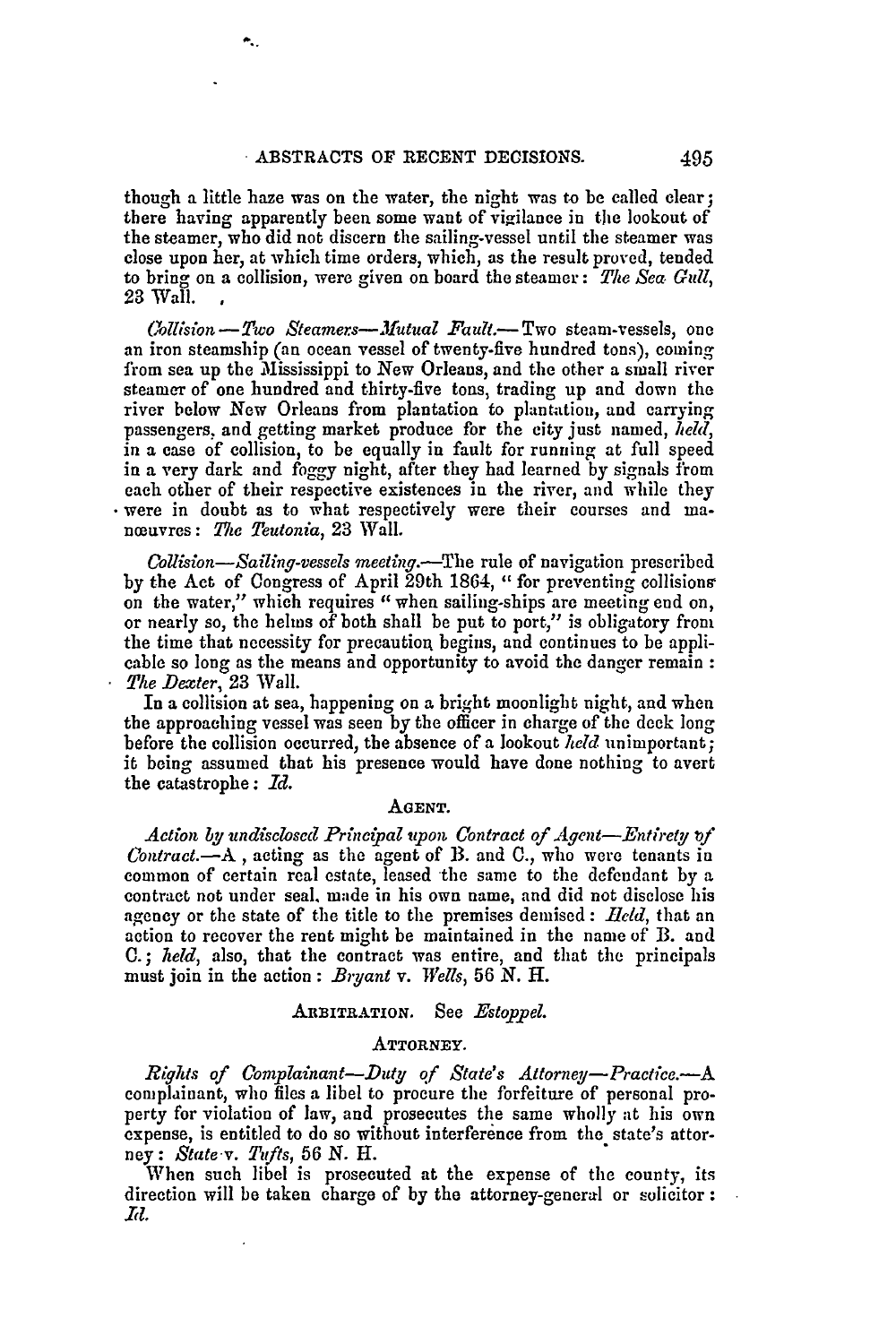۰.

though a little **haze** was on the water, the night was to be called clear; there having apparently been some want of vigilance in the lookout of the steamer, who did not discern the sailing-vessel until the steamer was close upon her, at which time orders, which, as the result proved, tended to bring on a collision, were given on board the steamer: *The Sea. Gull,* 23 Wall. **,**

*(ollision-Two Steamers-AMutual Fault.-* Two steam-vessels, one an iron steamship (an ocean vessel of twenty-five hundred tons), coming from sea up the Mississippi to New Orleans, and the other a small river steamer of one hundred and thirty-five tons, trading up and down the river below New Orleans from plantation to plantation, and carrying passengers, and getting market produce for the city just named, *held,* in a case of collision, to be equally in fault for running at full speed in a very dark and foggy night, after they had learned by signals from each other of their respective existences in the river, and while they were in doubt as to what respectively were their courses and manœuvres: *The Teutonia*, 23 Wall.

*Collision-Sailing-vessels meeting.-The* rule of navigation prescribed by the Act of Congress of April 29th 1864, " for preventing collisions on the water," which requires "when sailing-ships are meeting end on, or nearly so, the helns of both shall be put to port," is obligatory from the time that necessity for precautiog begins, and continues to be applicable so long as the means and opportunity to avoid the danger remain *The Dexter,* 23 Wall.

In a collision at sea, happening on a bright moonlight night, and when the approaching vessel was seen by the officer in charge of the deck long before the collision occurred, the absence of a lookout *held* unimportant; it being assumed that his presence would have done nothing to avert the catastrophe: *Id.*

## *AGENT.*

Action by undisclosed Principal upon Contract of Agent-Entirety of *Contract.* $-A$ , acting as the agent of B. and C., who were tenants in common of certain real estate, leased the same to the defendant by a contract not under seal, made in his own name, and did not disclose his agency or the state of the title to the premises demised:  $Held$ , that an action to recover the rent might be maintained in the name of B. and **0.;** *held,* also, that the contract was entire, and that the principals must join in the action: *Bryant v. Wells, 56 N.* H.

#### ARBITRATION. See *Estoppel*.

# **ATTORNEY.**

*Rights of Complainant-Duty of State's Attorney-Pratice.-A* complainant, who files a libel to procure the forfeiture of personal property for violation of law, and prosecutes the same wholly at his own expense, is entitled to do so without interference from the state's attorney: *State v. Tufts,* **56** *N. H.*

When such libel is prosecuted at the expense of the county, its direction will be taken charge of by the attorney-general or solicitor: *Rd.*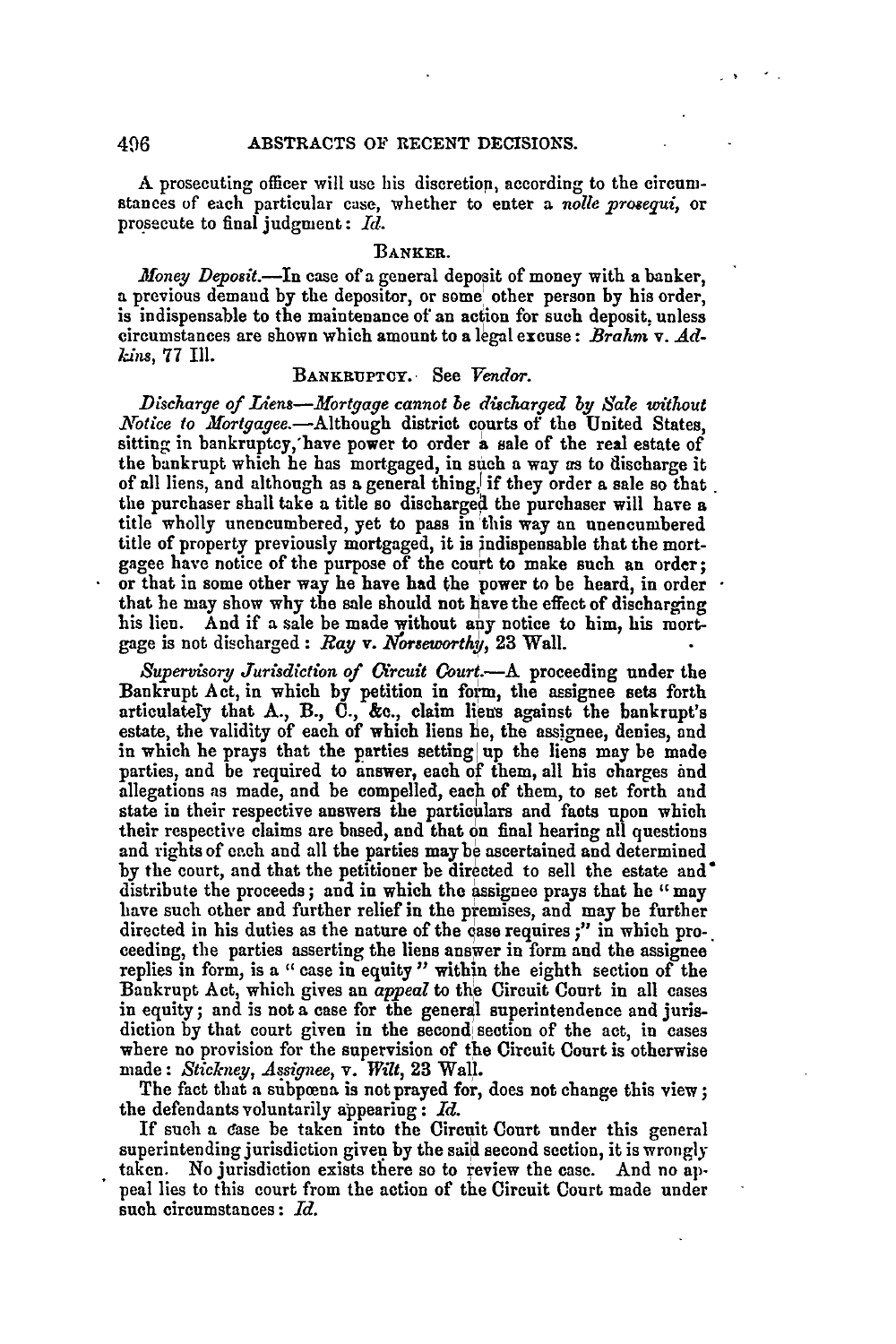**A** prosecuting officer will use his discretion, according to the circumstances of each particular case, whether to enter a *nolle prosequi,* **or** prosecute to final judgment: *Id.*

# BANKER.

*Money Deposit.-In* case of a general deposit of money with a banker, a previous demand **by** the depositor, or some other person **by** his order, is indispensable to the maintenance of an action for such deposit, unless circumstances are shown which amount to a legal excuse: Brahm v. Ad*kans,* **77 Ill.**

# **BANKRUPTCY.-** See *Vendor.*

*Discharge of Liens-Mortage cannot be discharged by Sale withwut Notice to Mortgagee.*—Although district courts of the United States, sitting in bankruptcy,'have power to order a sale of the real estate of the bankrupt which he has mortgaged, in such a way as to discharge it of all liens, and although as a general thing, if they order a sale so that. the purchaser shall take a title so discharged the purchaser will have a title wholly unencumbered, yet to pass in this way an unencumbered title of property previously mortgaged, it is indispensable that the mortgagee have notice of the purpose of the court **to** make such an order; or that in some other way he have had the power to be heard, in order  $\cdot$ that he may show why the sale should not have the effect of discharging his lien. And if a sale be made without any notice to him, his mortgage is not discharged: *Ray* **v.** *Yorseworthy,* **23** Wall.

*Supervisory Jurisdiction of Circuit Court.-A* proceeding under the Bankrupt Act, in which by petition in form, the assignee sets forth articulately that **A.,** B., **C., &c.,** claim liens against the bankrupt's estate, the validity of each of which liens he, the assignee, denies, and in which he prays that the parties setting up the liens may be made parties, and be required to inswer, each of them, all his charges **and** allegations as made, and be compelled, each of them, to set forth and state in their respective answers the particulars and facts upon which their respective claims are based, and that on final hearing all questions and rights of each and all the parties may be ascertained and determined **by** the court, and that the petitioner be directed to sell the estate and\* distribute the proceeds; and in which the assignee prays that he "may have such other and further relief in the premises, and may be further directed in his duties as the nature of the case requires;" in which proceeding, the parties asserting the liens answer in form and the assignee replies in form, is a "case in equity" within the eighth section of the Bankrupt Act, which gives an *appeal* to the Circuit Court in all cases in equity; and is not a case for the general superintendence and jurisdiction by that court given in the second section of the act, in cases where no provision for the supervision of the Circuit Court is otherwise made: *Stickney, Assinee, v. Wilt,* **23** Wall.

The fact that a subpoena is not prayed for, does not change this view; the defendants voluntarily appearing: *Id.*

If such a ease be taken into the Circuit Court under this general superintending jurisdiction given **by** the said second section, it is wrongly taken. No jurisdiction exists there so to review the case. And no **ap**peal lies to this court from the action of the Circuit Court made under such circumstances: *Id.*

496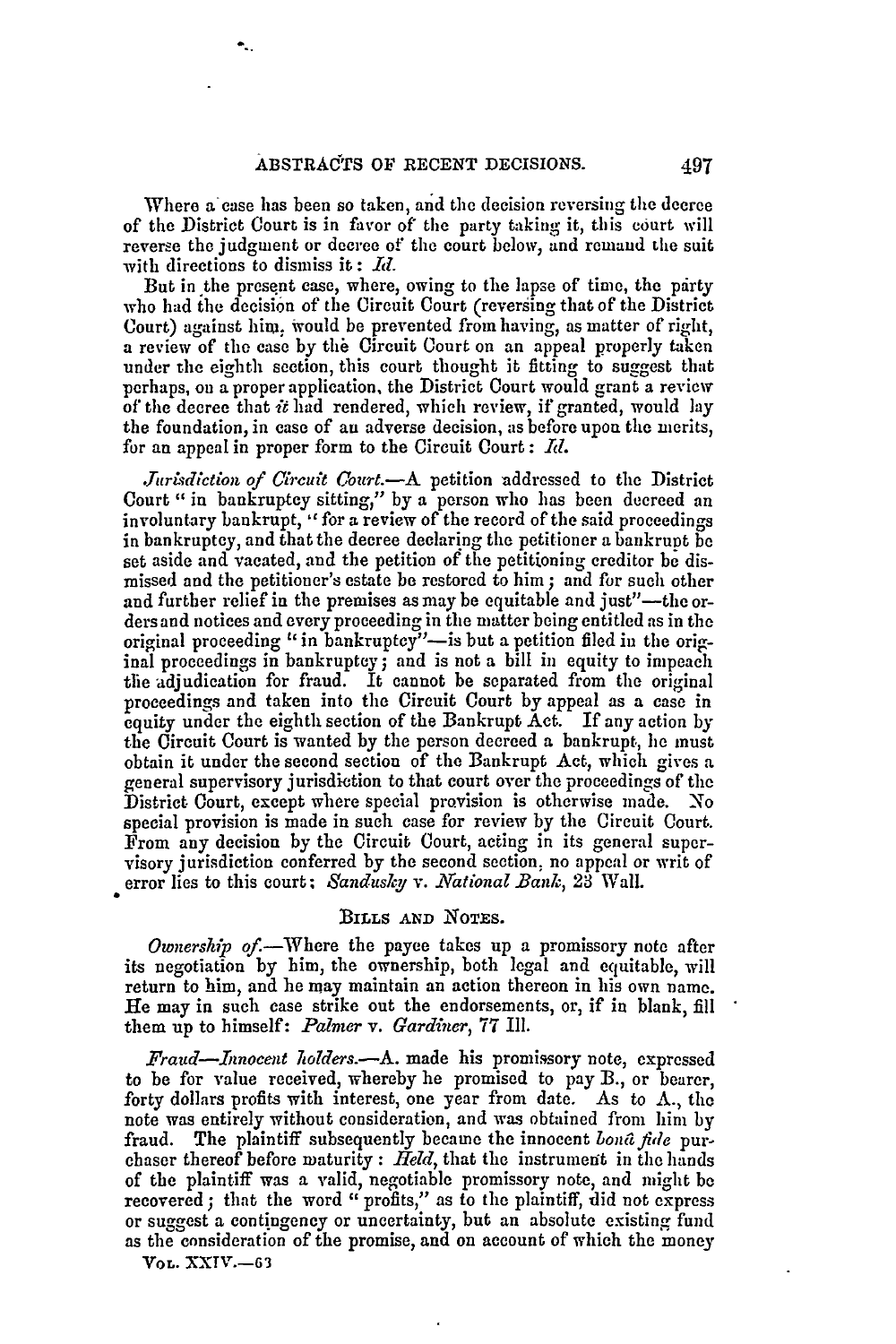Where a case has been so taken, and the decision reversing the decree of the District Court is in favor *of"* the party taking it, this court will reverse the judgment or decree of the court below, and remand the suit with directions to dismiss it: **Id**

But in the present case, where, owing to the lapse of time, the party who had the decision of the Circuit Court (reversing that of the District Court) against him, would be prevented from having, as matter of right, a review of the case by the Circuit Court on an appeal properly taken under the eighth section, this court thought it fitting to suggest that perhaps, on a proper application, the District Court would grant a review of the decree that *it* had rendered, which review, if granted, would lay the foundation, in case of an adverse decision, as before upon the merits, for an appeal in proper form to the Circuit Court: *Id.*

*Jurisdiction of Circuit Court.*—A petition addressed to the District Court " in bankruptcy sitting," by a person who has been decreed an involuntary bankrupt, " for a review of the record of the said proceedings in bankruptcy, and that the decree declaring the petitioner a bankrupt be set aside and vacated, and the petition of the petitioning creditor be dismissed and the petitioner's estate be restored to him ; and for such other and further relief in the premises as may be equitable and just"—the orders and notices and every proceeding in the matter being entitled as in the original proceeding **"** in bankruptcy"-is but a petition filed in the original proceedings in bankruptcy; and is not a bill in equity to impeach the adjudication for fraud. It cannot be separated from the original proceedings and taken into the Circuit Court by appeal as a case in equity under the eighth section of the Bankrupt Act. If any action by the Circuit Court is wanted by the person decreed a bankrupt, he must obtain it under the second section of the Bankrupt Act, which gives a general supervisory jurisdiction to that court over the proceedings of the District Court, except where special provision is otherwise made. No special provision is made in such case for review by the Circuit Court. From any decision by the Circuit Court, acting in its general supervisory jurisdiction conferred **by** the second section, no appeal or writ of error lies to this court; Sandusky v. National Bank, 23 Wall.

#### BILLS **AND NOTES.**

*Ownership of.*—Where the payee takes up a promissory note after its negotiation by him, the ownership, both legal and equitable, will return to him, and he may maintain an action thereon in his own name. He may in such ease strike out the endorsements, or, if in blank, fill them up to himself: *Palmer v. Gardiner,* 77 Ill.

*Fraud-Innocent holders.-A.* made his promissory note, expressed to be for value received, whereby he promised to pay B., or bearer, forty dollars profits with interest, one year from date. As to  $\Lambda$ , the note was entirely without consideration, and was obtained from him by fraud. The plaintiff subsequently became the innocent *bond fide* purchaser thereof before maturity : *Held,* that the instrument in the hands of the plaintiff was a valid, negotiable promissory note, and might be recovered; that the word " profits," as to the plaintiff, did not express or suggest a contingency or uncertainty, but an absolute existing fund as the consideration of the promise, and on account of which the money **VOL.** XXIV.-63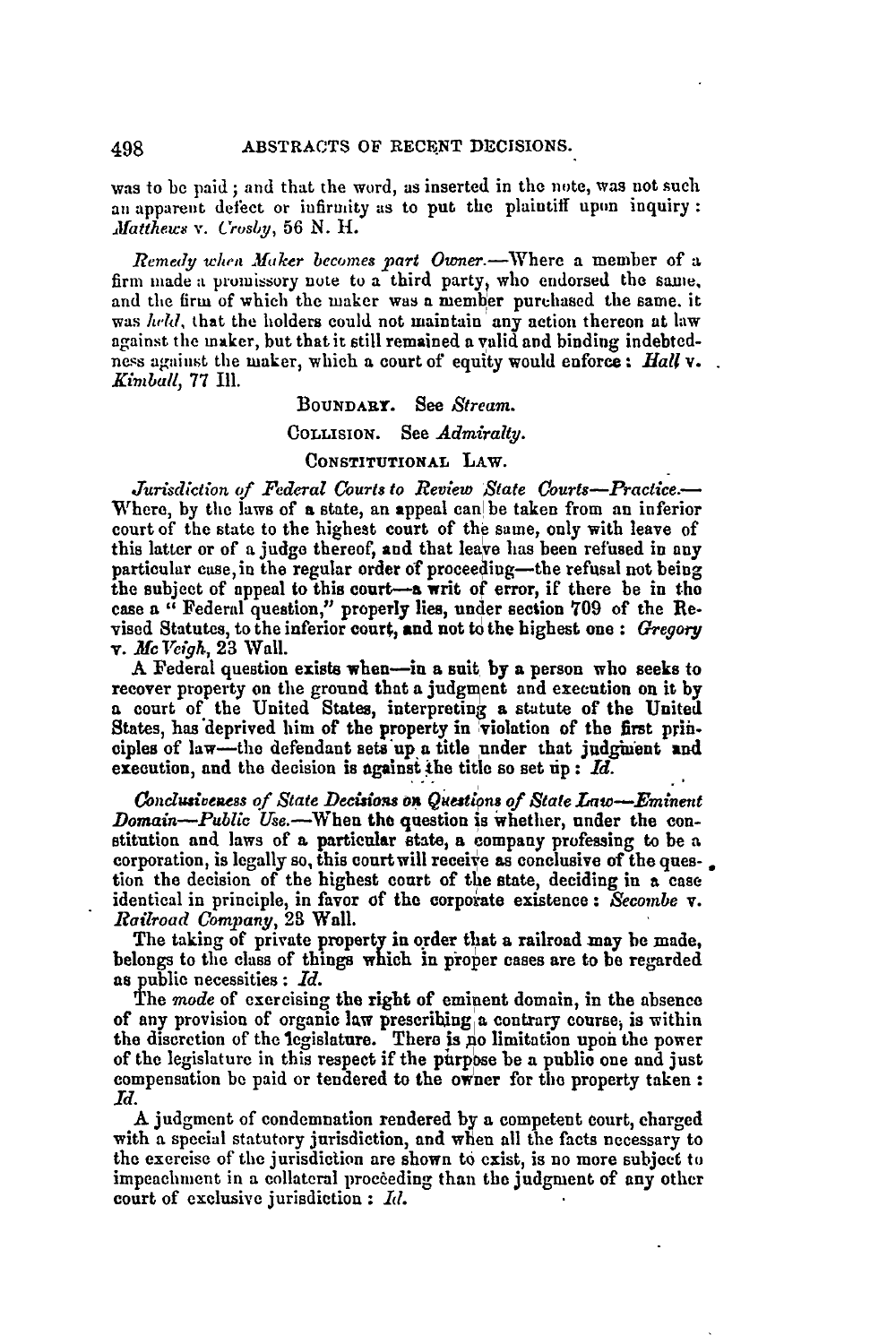was to be paid **;** and that the word, as inserted in the note, was not such an apparent defect or infirmity as to put the plaintiff upon inquiry: *Iratthews v. 'rosiby,* 56 N. *11.*

*Remedy when Maker becomes part Owner.*-Where a member of a firm made a promissory note to a third party, who endorsed the same, and the firm of which the maker was a member purchased the same. it was *held*, that the holders could not maintain any action thereon at law against the maker, but that it still remained a valid and binding indebtedness against the maker, which a court of equity would enforce: *Hall* **v.**. *Kimball,* **77 Ill.**

# BOUNDARY. See *Stream.*

# COLLIsIoN. See *Admiralty.*

### **CONSTITUTIONAL** LAW.

Jurisdiction of Federal Courts to Review State Courts-Practice.-Where, by the laws of a state, an appeal can be taken from an inferior court of the state to the highest court of the same, only with leave of this latter or of a **judge** thereof, and that leave has been refused in **any** particular case, in the regular order of proceeding-the refusal not being the subject of appeal to this court-a writ of error, if there be in the case a " Federal question," properly lies, under section **709** of the Revised Statutes, to the inferior court, and not to the highest one **:** *Gregory* v. *Mc Veigh,* 23 Wall.

**A** Federal question exists when-in a suit **by a** person who seeks to recover property on the ground that a judgment and execution on it **by** a court of the United States, interpreting a statute of the United States, has'deprived him of the property in violation of the **first** prin. ciples of law-the defendant sete'up **a** title under that judghent and execution, and the decision is **against** the title so set **up :** *Id.*

*onclusveess of State Decisios on Questions of State Law-Eminent Domain--Public Use.*-When the question is whether, under the constitution and laws of a particular state, a company professing to be a corporation, is legally so, this court will receive as conclusive of the ques- $\Box$ tion the decision of the highest court of the state, deciding in a case identical in principle, in favor of the corporate existence **:** *econbe* v. *Railroad Company,* 28 Wall.

The taking of private property in order that **a** railroad may be made, belongs to the class of things which **in** proper cases are to **be** regarded **as** public necessities: *Id.*

**The** *mode* of exercising the right of eminent domain, in the absence of any provision of organic law prescribing a contrary course, is within the discretion of the legislature. There is **no** limitation upon the power of the legislature in this respect if the purpose be a public one and just compensation be paid or tendered to the owner for the property taken: *Id.*

**A** judgment of condemnation rendered **by** a competent court, charged with a special statutory jurisdiction, and when all the facts necessary to the exercise of the jurisdiction are shown to exist, is no more subject to impeachment in a collateral proceeding than the judgment of any other court of exclusive jurisdiction **:** *Id.*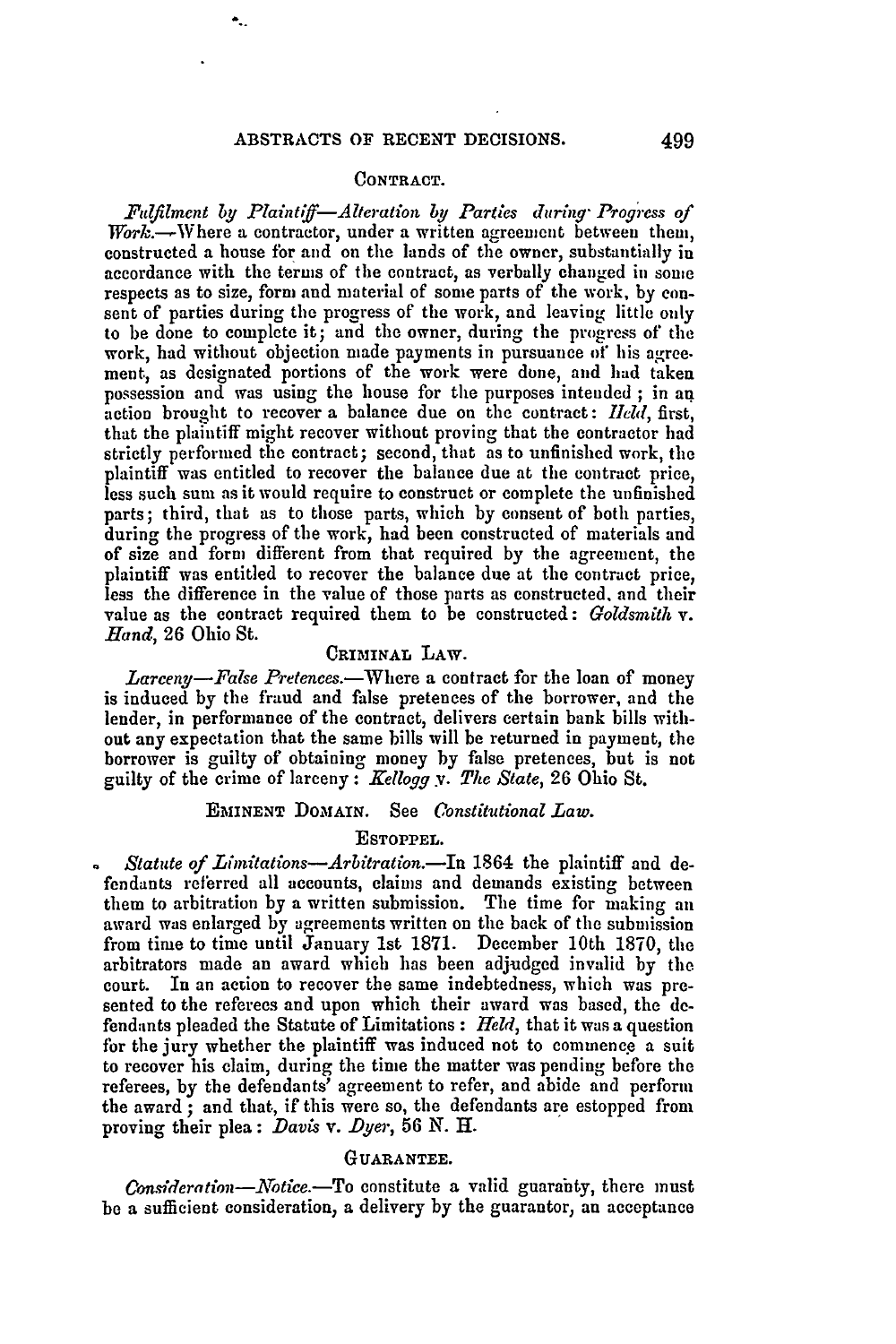# **CONTRACT.**

*Fulilment by Plaintlff-Alteration by Parties during" Progress of*  $Work. - Where a contraction, under a written agreement between them,$ constructed a house for and on the lands of the owner, substantially in accordance with the terms of the contract, as verbally changed in some respects as to size, form and material of some parts of the work, **by** consent of parties during the progress of the work, and leaving little only to be done to complete it; and the owner, during the progress of the work, had without objection made payments in pursuance **of** his agree. meat, as designated portions of the work were done, and had taken possession and was using the house for the purposes intended ; in an action brought to recover a balance due on the contract: *Ield,* first, that the plaintiff might recover without proving that the contractor had strictly performed the contract; second, that as to unfinished work, the plaintiff was entitled to recover the balance due at the contract price, less such sun as it would require to construct or complete the unfinished parts; third, that as to those parts, which by consent of both parties, during the progress of the work, had been constructed of materials and of size and form different from that required by the agreement, the plaintiff was entitled to recover the balance due at the contract price, less the difference in the value of those parts as constructed, and their value as the contract required them to be constructed: *Goldsmith v. Hand,* 26 Ohio St.

## CRIMINAL LAW.

*Larceny-False Pretences.-Where* a contract for the loan of money is induced by the fraud and false pretences of the borrower, and the lender, in performance of the contract, delivers certain bank bills without any expectation that the same bills will be returned in payment, the borrower is guilty of obtaining money by false pretences, but is not guilty of the crime of larceny: *Kellogg y. The State,* 26 Ohio St.

# EMINENT DOMAIN. See *0onstitutional Law.*

# **ESTOPPEL.**

*Statute of Limitations--Arbitration.*-In 1864 the plaintiff and defendants referred all accounts, claims and demands existing between them to arbitration by a written submission. The time for making an award was enlarged by agreements written on the back of the submission from time to time until January 1st 1871. December 10th 1870, the arbitrators made an award which has been adjudged invalid by the court. In an action to recover the same indebtedness, which was presented to the referees and upon which their award was based, the defendants pleaded the Statute of Limitations : *Held,* that it was a question for the jury whether the plaintiff was induced not to commence a suit to recover his claim, during the time the matter was pending before the referees, **by** the defendants' agreement to refer, and abide and perform the award **;** and that, if this were so, the defendants are estopped from proving their plea: *Davis* v. *Dyer,* 56 N. **H.**

## **GUARANTEE.**

*Consideration-Notice.*-To constitute a valid guaranty, there must be a sufficient consideration, a delivery by the guarantor, an acceptance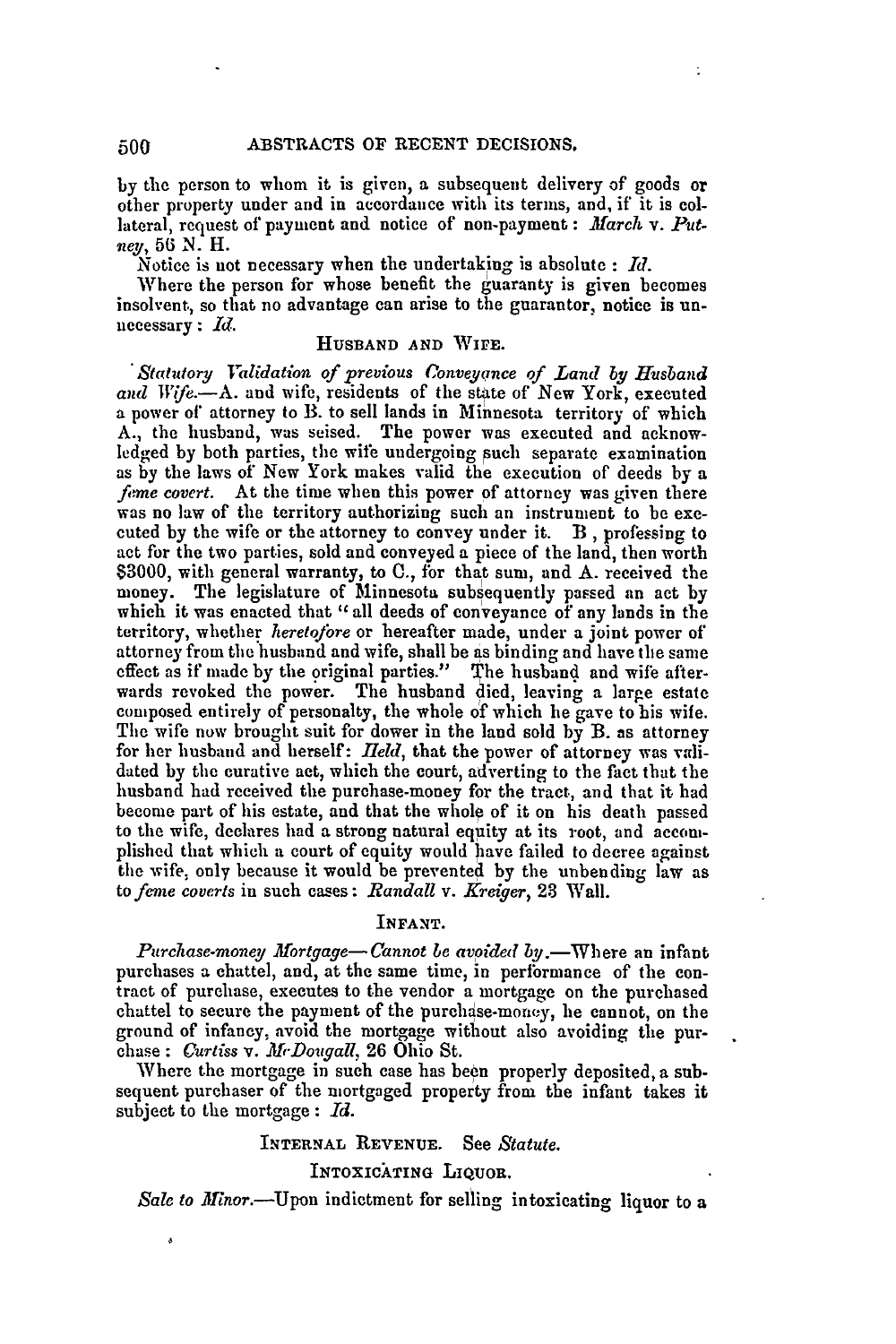**by** the person to whom it is given, a subsequent delivery of goods or other property under and in accordance with its terms, and, if it is collateral, request of payment and notice of non-payment: *March v. Putszey, 56* N. H.

Notice is not necessary when the undertaking is absolute **:** *Id.*

Where the person for whose benefit the guaranty is given becomes insolvent, so that no advantage can arise to the guarantor, notice is un- necessary **:** *Id.* **HUSBAND AND WIrE.**

*"Statutory I'alidation of previous Conveyance of Land by Husband* and Wife.-A. and wife, residents of the state of New York, executed a power of attorney to B. to sell lands in Minnesota territory of which A., the husband, was seised. The power was executed and acknowledged by both parties, the wife undergoing such separate examination as **by** the laws of New York makes valid the execution of deeds **by** a *feme covert.* At the time when this power of attorney was given there was no law of the territory authorizing such an instrument to be executed by the wife or the attorney to convey under it. B , professing to act for the two parties, sold and conveyed a piece of the land, then worth \$3000, with general warranty, to **C.,** for that sum, and A. received the money. The legislature of Minnesota subsequently passed an act by which it was enacted that "all deeds of conveyance of any lands in the territory, whether *heretofore* or hereafter made, under a joint power of attorney from the husband and wife, shall be as binding and have the same effect as if made by the original parties." The husband and wife afterwards revoked the power. The husband died, leaving a large estate composed entirely of personalty, the whole of which he gave to his wife. The wife now brought suit for dower in the land sold by B. as attorney for her husband and herself: *IIeld*, that the power of attorney was validated by the curative act, which the court, adverting to the fact that the husband had received the purchase-money for the tract, and that it had become part of his estate, and that the whole of it on his death passed to the wife, declares had a strong natural equity at its root, and accomplished that which a court of equity would have failed to decree against the wife, only because it would be prevented by the unbending law as *to fene coverts* in such cases: *Randall v. Kreiger,* 28 Wall.

# INFANT.

*Purchase-money Mortgage-Cannot be avoided by.*-Where an infant purchases a chattel, and, at the same time, in performance of the con- tract of purchase, executes to the vendor a mortgage on the purchased chattel to secure the payment of the purchase-money, he cannot, on the ground of infancy, avoid the mortgage without also avoiding the purchase **:** *Curtiss v. MADougall,* **26** Ohio St.

Where the mortgage in such case has been properly deposited, a subsequent purchaser of the mortgaged property from the infant takes it subject to the mortgage **:** *Id.*

# INTERNAL **REVENUE.** See *Statute.*

INTOXICATING LIQUOR.

*Sale to Minor.*—Upon indictment for selling intoxicating liquor to a

 $500$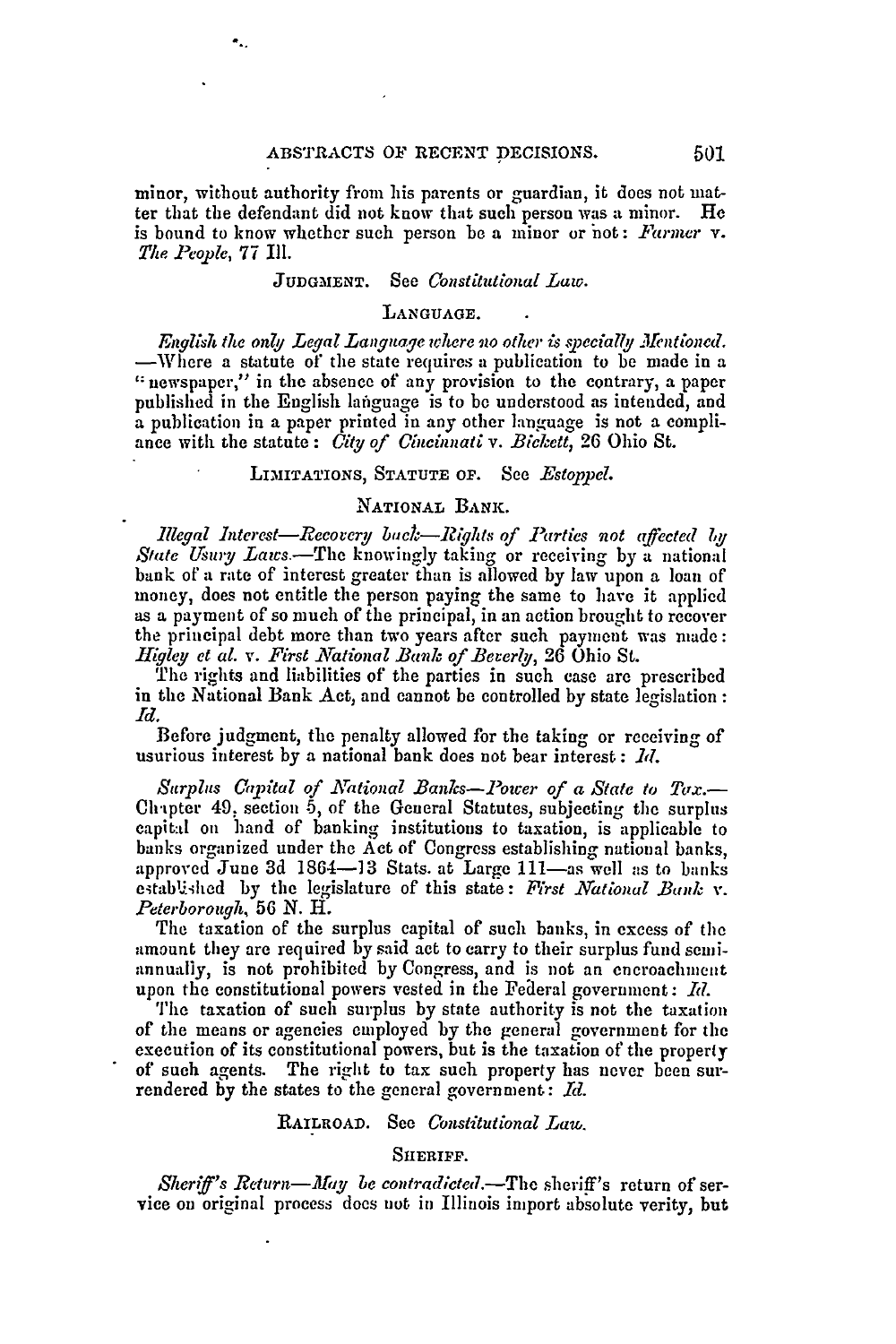minor, without authority from his parents or guardian, it does not matter that the defendant did not know that such person was a minor. He is bound to know whethcr such person be a minor or not: *Farmer* v. *The People,* 77 Ill.

#### JUDGMENT. See *Constitutional Law*.

#### **LANGUAGE.**

*English the only Legal Language where no other is specially Mentioned.* -Where a statute of the state requires a publication to be made in a  $\alpha$  newspaper," in the absence of any provision to the contrary, a paper published in the English language is to be understood as intended, and a publication in a paper printed in any other language is not a compliance with the statute : *City of Ciucinnati v. Bickett,* 26 Ohio St.

# LIMITATIONS, **STATUTE OF.** See *Estoppel.*

# NATIONAL **BANK.**

*Illegal Interest—Recovery back—Rights of Parties not affected by* State Usury Laws.-The knowingly taking or receiving by a national bank of a rate of interest greater than is allowed by law upon a loan of money, does not entitle the person paying the same to have it applied as a payment of so much of the principal, in an action brought to recover the principal debt more than two years after such payment was made: *Higley et al. v. First National Bank of Bererly,* **26** Ohio St.

The rights and liabilities of the parties in such case are prescribed in the National Bank Act, and cannot be controlled by state legislation: *Id.*

Before judgment, the penalty allowed for the taking or receiving of usurious interest by a national bank does not bear interest : *d.*

*Surplts Capital of NAational Banks-Power of a State to Tax.-* Chipter 49: section 5, of the General Statutes, subjecting the surplus capital on hand of banking institutions to taxation, is applicable to banks organized under the Act of Congress establishing national banks, approved June 3d 1864-13 Stats. at Large 111-as well as to banks etabUied by the legislature of this state: *First National Bank v. Peterborough,* 56 *N.* H.

The taxation of the surplus capital of such banks, in excess of the amount they are required by said act to carry to their surplus fund seniannually, is not prohibited by Congress, and is not an encroachment upon the constitutional powers vested in the Federal government: *Id.* 

The taxation of such surplus by state authority is not the taxation of the means or agencies employed by the general government for the execution of its constitutional powers, but is the taxation of the properly of such agents. The right to tax such property has never been surrendered by the states to the general government: *MI.*

# RAILROAD. See *Constitutional Law.*

## SHERIFF.

*Sheriff's Return-May be contradieted.-The* sheriff's return of service on original process does nut in Illinois import absolute verity, but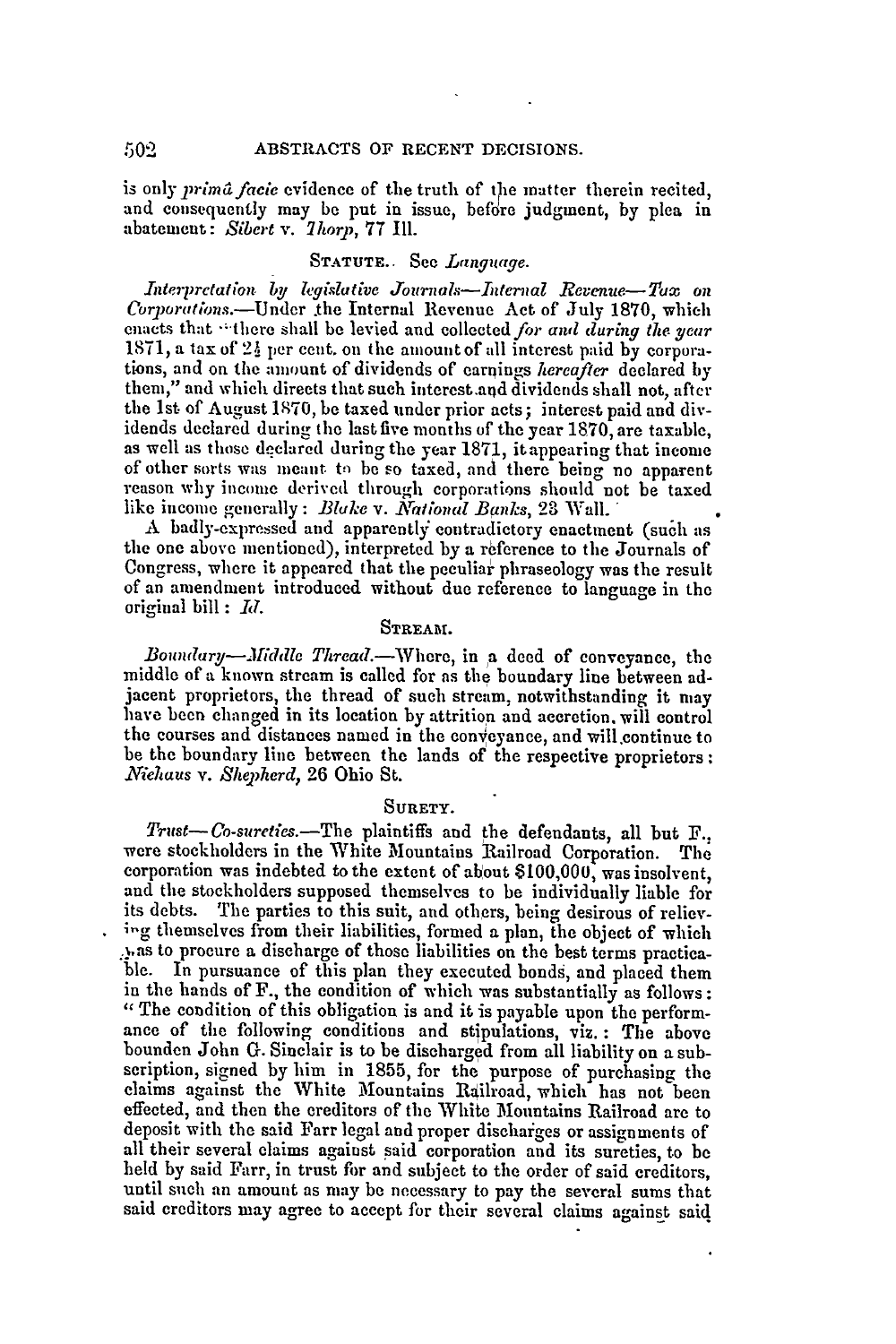is only *prima faeie* evidence of the truth of the matter therein recited, and consequently may **be** put in issue, before judgment, by plea in abatement: Sibert *v. 7hor), 77* Ill.

# **STATUTE.. See** *Languge.*

Interprctation *by legislative Journals-Internal Revenue- Tax on* Corporations.-Under the Internal Revenue Act of July 1870, which enacts that "there shall be levied and collected *for and during the year* 1871, a tax of  $2\frac{1}{2}$  per cent. on the amount of all interest paid by corporations, and on the amount of dividends of earnings *hereafter* declared by them," and which directs that such interest.and dividends shall not, after the 1st of August 1870, be taxed under prior acts; interest paid and dividends declared during the last five months of the year **1870,** are taxable, as well as those declared during the year **1871,** itappearing that income of other sorts was meant to) be so taxed, and there being no apparent reason why income derived through corporations should not be taxed like income generally: *Blake v. National Banks*, 23 Wall.

**<sup>A</sup>**badly-expressed and apparently contradictory enactment (sucl as the one above mentioned), interpreted by a reference to the Journals of Congress, where it appeared that the peculiar phraseology was the result of an amendment introduced without due reference to language in the original bill : *11.*

# **STREAM.**

*Boundary--Middle Thread.*-Where, in a deed of conveyance, the middle of a known stream is called for as the boundary line between adjacent proprietors, the thread of such stream, notwithstanding it may have been changed in its location by attrition and accretion, will control the courses and distances named in the conveyance, and will.continue to be the boundary line between the lands of the respective proprietors: *Niehaus v. Sheherd,* **26** Ohio St.

## **SURETY.**

*Trust-Co-sureties.*-The plaintiffs and the defendants, all but F., were stockholders in the White Mountains Railroad Corporation. The corporation was indebted to the extent of about **\$100,000,** was insolvent, and the stockholders supposed themselves to be individually liable for its debts. The parties to this suit, and others, being desirous of relievig themselves from their liabilities, formed a plan, the object of which .Nas to procure a discharge of those liabilities on the best terms practicable. In pursuance of this plan they executed bonds, and placed them in the hands of F., the condition of which was substantially as follows: "The condition of this obligation is and it is payable upon the perform- ance of the following conditions and stipulations, viz. : The above bounden John **G.** Sinclair is to be discharged from all liability on a subscription, signed by him in 1855, for the purpose of purchasing the claims against the White Mountains Railroad, which has not been effected, and then the creditors of the White Mountains Railroad are to deposit with the said Farr legal and proper dischaiges or assignments of all their several claims against said corporation and its sureties, to be held by said Farr, in trust fir and subject to the order of said creditors, until such an amount as may be necessary to pay the several sums that said creditors may agree to accept for their several claims against said